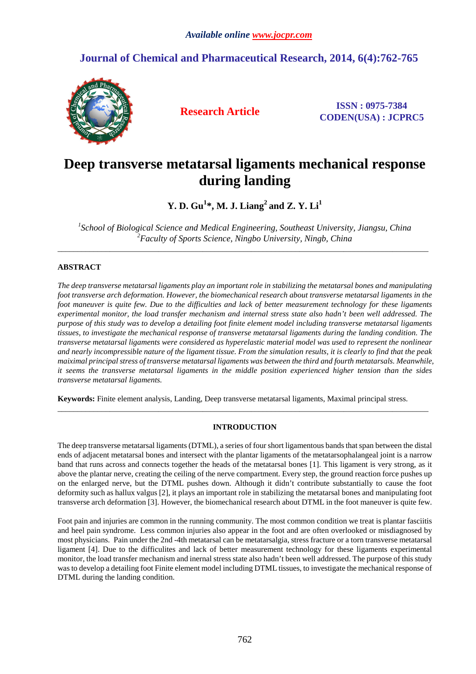# **Journal of Chemical and Pharmaceutical Research, 2014, 6(4):762-765**



**Research Article ISSN : 0975-7384 CODEN(USA) : JCPRC5**

# **Deep transverse metatarsal ligaments mechanical response during landing**

**Y. D. Gu<sup>1</sup> \*, M. J. Liang<sup>2</sup>and Z. Y. Li<sup>1</sup>**

*1 School of Biological Science and Medical Engineering, Southeast University, Jiangsu, China <sup>2</sup>Faculty of Sports Science, Ningbo University, Ningb, China*  \_\_\_\_\_\_\_\_\_\_\_\_\_\_\_\_\_\_\_\_\_\_\_\_\_\_\_\_\_\_\_\_\_\_\_\_\_\_\_\_\_\_\_\_\_\_\_\_\_\_\_\_\_\_\_\_\_\_\_\_\_\_\_\_\_\_\_\_\_\_\_\_\_\_\_\_\_\_\_\_\_\_\_\_\_\_\_\_\_\_\_\_

### **ABSTRACT**

*The deep transverse metatarsal ligaments play an important role in stabilizing the metatarsal bones and manipulating foot transverse arch deformation. However, the biomechanical research about transverse metatarsal ligaments in the foot maneuver is quite few. Due to the difficulties and lack of better measurement technology for these ligaments experimental monitor, the load transfer mechanism and internal stress state also hadn't been well addressed. The purpose of this study was to develop a detailing foot finite element model including transverse metatarsal ligaments tissues, to investigate the mechanical response of transverse metatarsal ligaments during the landing condition. The transverse metatarsal ligaments were considered as hyperelastic material model was used to represent the nonlinear and nearly incompressible nature of the ligament tissue. From the simulation results, it is clearly to find that the peak maiximal principal stress of transverse metatarsal ligaments was between the third and fourth metatarsals. Meanwhile, it seems the transverse metatarsal ligaments in the middle position experienced higher tension than the sides transverse metatarsal ligaments.* 

**Keywords:** Finite element analysis, Landing, Deep transverse metatarsal ligaments, Maximal principal stress.

### **INTRODUCTION**

\_\_\_\_\_\_\_\_\_\_\_\_\_\_\_\_\_\_\_\_\_\_\_\_\_\_\_\_\_\_\_\_\_\_\_\_\_\_\_\_\_\_\_\_\_\_\_\_\_\_\_\_\_\_\_\_\_\_\_\_\_\_\_\_\_\_\_\_\_\_\_\_\_\_\_\_\_\_\_\_\_\_\_\_\_\_\_\_\_\_\_\_

The deep transverse metatarsal ligaments (DTML), a series of four short ligamentous bands that span between the distal ends of adjacent metatarsal bones and intersect with the plantar ligaments of the metatarsophalangeal joint is a narrow band that runs across and connects together the heads of the metatarsal bones [1]. This ligament is very strong, as it above the plantar nerve, creating the ceiling of the nerve compartment. Every step, the ground reaction force pushes up on the enlarged nerve, but the DTML pushes down. Although it didn't contribute substantially to cause the foot deformity such as hallux valgus [2], it plays an important role in stabilizing the metatarsal bones and manipulating foot transverse arch deformation [3]. However, the biomechanical research about DTML in the foot maneuver is quite few.

Foot pain and injuries are common in the running community. The most common condition we treat is plantar fasciitis and heel pain syndrome. Less common injuries also appear in the foot and are often overlooked or misdiagnosed by most physicians. Pain under the 2nd -4th metatarsal can be metatarsalgia, stress fracture or a torn transverse metatarsal ligament [4]. Due to the difficulites and lack of better measurement technology for these ligaments experimental monitor, the load transfer mechanism and inernal stress state also hadn't been well addressed. The purpose of this study was to develop a detailing foot Finite element model including DTML tissues, to investigate the mechanical response of DTML during the landing condition.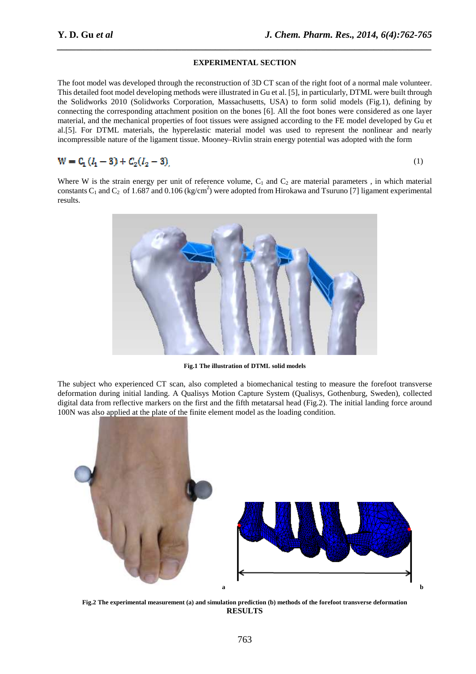## *\_\_\_\_\_\_\_\_\_\_\_\_\_\_\_\_\_\_\_\_\_\_\_\_\_\_\_\_\_\_\_\_\_\_\_\_\_\_\_\_\_\_\_\_\_\_\_\_\_\_\_\_\_\_\_\_\_\_\_\_\_\_\_\_\_\_\_\_\_\_\_\_\_\_\_\_\_\_* **EXPERIMENTAL SECTION**

The foot model was developed through the reconstruction of 3D CT scan of the right foot of a normal male volunteer. This detailed foot model developing methods were illustrated in Gu et al. [5], in particularly, DTML were built through the Solidworks 2010 (Solidworks Corporation, Massachusetts, USA) to form solid models (Fig.1), defining by connecting the corresponding attachment position on the bones [6]. All the foot bones were considered as one layer material, and the mechanical properties of foot tissues were assigned according to the FE model developed by Gu et al.[5]. For DTML materials, the hyperelastic material model was used to represent the nonlinear and nearly incompressible nature of the ligament tissue. Mooney–Rivlin strain energy potential was adopted with the form

$$
W = C_1 (l_1 - 3) + C_2 (l_2 - 3)
$$

$$
(1)
$$

Where W is the strain energy per unit of reference volume,  $C_1$  and  $C_2$  are material parameters, in which material constants C<sub>1</sub> and C<sub>2</sub> of 1.687 and 0.106 (kg/cm<sup>2</sup>) were adopted from Hirokawa and Tsuruno [7] ligament experimental results.



**Fig.1 The illustration of DTML solid models** 

The subject who experienced CT scan, also completed a biomechanical testing to measure the forefoot transverse deformation during initial landing. A Qualisys Motion Capture System (Qualisys, Gothenburg, Sweden), collected digital data from reflective markers on the first and the fifth metatarsal head (Fig.2). The initial landing force around 100N was also applied at the plate of the finite element model as the loading condition.



**Fig.2 The experimental measurement (a) and simulation prediction (b) methods of the forefoot transverse deformation RESULTS**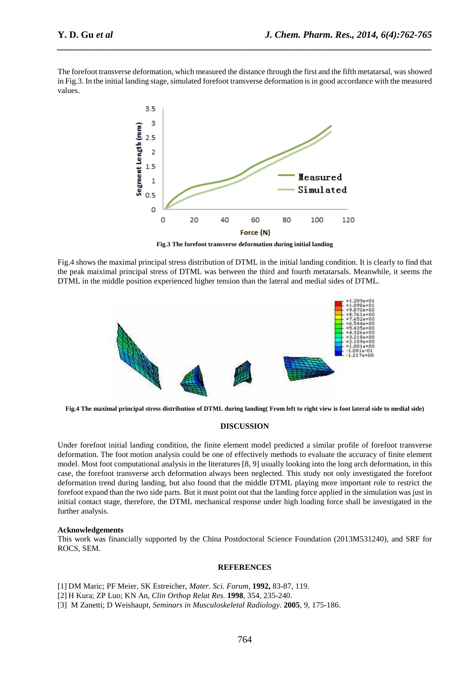The forefoot transverse deformation, which measured the distance through the first and the fifth metatarsal, was showed in Fig.3. In the initial landing stage, simulated forefoot transverse deformation is in good accordance with the measured values.

*\_\_\_\_\_\_\_\_\_\_\_\_\_\_\_\_\_\_\_\_\_\_\_\_\_\_\_\_\_\_\_\_\_\_\_\_\_\_\_\_\_\_\_\_\_\_\_\_\_\_\_\_\_\_\_\_\_\_\_\_\_\_\_\_\_\_\_\_\_\_\_\_\_\_\_\_\_\_*



**Fig.3 The forefoot transverse deformation during initial landing** 

Fig.4 shows the maximal principal stress distribution of DTML in the initial landing condition. It is clearly to find that the peak maiximal principal stress of DTML was between the third and fourth metatarsals. Meanwhile, it seems the DTML in the middle position experienced higher tension than the lateral and medial sides of DTML.



**Fig.4 The maximal principal stress distribution of DTML during landing( From left to right view is foot lateral side to medial side)** 

### **DISCUSSION**

Under forefoot initial landing condition, the finite element model predicted a similar profile of forefoot transverse deformation. The foot motion analysis could be one of effectively methods to evaluate the accuracy of finite element model. Most foot computational analysis in the literatures [8, 9] usually looking into the long arch deformation, in this case, the forefoot transverse arch deformation always been neglected. This study not only investigated the forefoot deformation trend during landing, but also found that the middle DTML playing more important role to restrict the forefoot expand than the two side parts. But it must point out that the landing force applied in the simulation was just in initial contact stage, therefore, the DTML mechanical response under high loading force shall be investigated in the further analysis.

### **Acknowledgements**

This work was financially supported by the China Postdoctoral Science Foundation (2013M531240), and SRF for ROCS, SEM.

### **REFERENCES**

[1] DM Maric; PF Meier, SK Estreicher, *Mater. Sci. Forum,* **1992,** 83-87, 119.

[2] H Kura; ZP Luo; KN An, *Clin Orthop Relat Res.* **1998**, 354, 235-240.

[3] M Zanetti; D Weishaupt, *Seminars in Musculoskeletal Radiology*. **2005**, 9, 175-186.